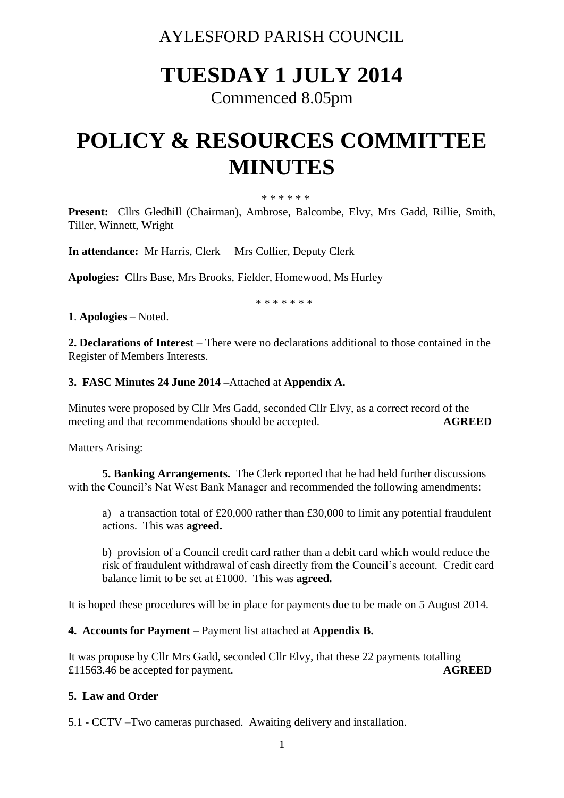AYLESFORD PARISH COUNCIL

# **TUESDAY 1 JULY 2014**

Commenced 8.05pm

# **POLICY & RESOURCES COMMITTEE MINUTES**

\* \* \* \* \* \*

**Present:** Cllrs Gledhill (Chairman), Ambrose, Balcombe, Elvy, Mrs Gadd, Rillie, Smith, Tiller, Winnett, Wright

**In attendance:** Mr Harris, Clerk Mrs Collier, Deputy Clerk

**Apologies:** Cllrs Base, Mrs Brooks, Fielder, Homewood, Ms Hurley

\* \* \* \* \* \* \*

**1**. **Apologies** – Noted.

**2. Declarations of Interest** – There were no declarations additional to those contained in the Register of Members Interests.

#### **3. FASC Minutes 24 June 2014 –**Attached at **Appendix A.**

Minutes were proposed by Cllr Mrs Gadd, seconded Cllr Elvy, as a correct record of the meeting and that recommendations should be accepted. **AGREED**

Matters Arising:

**5. Banking Arrangements.** The Clerk reported that he had held further discussions with the Council's Nat West Bank Manager and recommended the following amendments:

a) a transaction total of £20,000 rather than £30,000 to limit any potential fraudulent actions. This was **agreed.**

b) provision of a Council credit card rather than a debit card which would reduce the risk of fraudulent withdrawal of cash directly from the Council's account. Credit card balance limit to be set at £1000. This was **agreed.**

It is hoped these procedures will be in place for payments due to be made on 5 August 2014.

**4. Accounts for Payment –** Payment list attached at **Appendix B.** 

It was propose by Cllr Mrs Gadd, seconded Cllr Elvy, that these 22 payments totalling £11563.46 be accepted for payment. **AGREED**

# **5. Law and Order**

5.1 - CCTV –Two cameras purchased. Awaiting delivery and installation.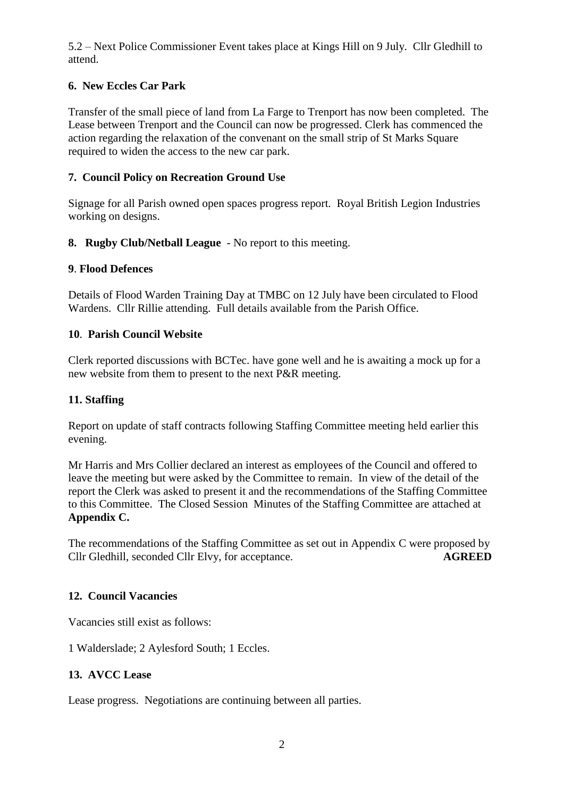5.2 – Next Police Commissioner Event takes place at Kings Hill on 9 July. Cllr Gledhill to attend.

# **6. New Eccles Car Park**

Transfer of the small piece of land from La Farge to Trenport has now been completed. The Lease between Trenport and the Council can now be progressed. Clerk has commenced the action regarding the relaxation of the convenant on the small strip of St Marks Square required to widen the access to the new car park.

# **7. Council Policy on Recreation Ground Use**

Signage for all Parish owned open spaces progress report. Royal British Legion Industries working on designs.

**8. Rugby Club/Netball League** - No report to this meeting.

# **9**. **Flood Defences**

Details of Flood Warden Training Day at TMBC on 12 July have been circulated to Flood Wardens. Cllr Rillie attending. Full details available from the Parish Office.

# **10**. **Parish Council Website**

Clerk reported discussions with BCTec. have gone well and he is awaiting a mock up for a new website from them to present to the next P&R meeting.

# **11. Staffing**

Report on update of staff contracts following Staffing Committee meeting held earlier this evening.

Mr Harris and Mrs Collier declared an interest as employees of the Council and offered to leave the meeting but were asked by the Committee to remain. In view of the detail of the report the Clerk was asked to present it and the recommendations of the Staffing Committee to this Committee. The Closed Session Minutes of the Staffing Committee are attached at **Appendix C.** 

The recommendations of the Staffing Committee as set out in Appendix C were proposed by Cllr Gledhill, seconded Cllr Elvy, for acceptance. **AGREED**

# **12. Council Vacancies**

Vacancies still exist as follows:

1 Walderslade; 2 Aylesford South; 1 Eccles.

# **13. AVCC Lease**

Lease progress. Negotiations are continuing between all parties.